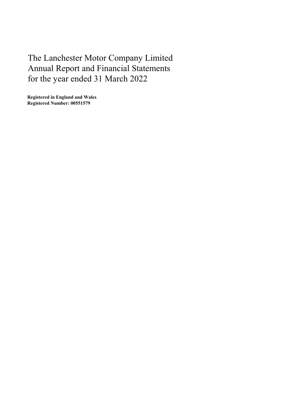The Lanchester Motor Company Limited Annual Report and Financial Statements for the year ended 31 March 2022

Registered in England and Wales Registered Number: 00551579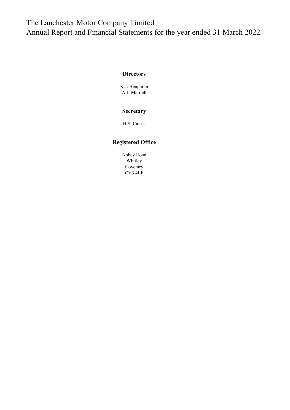# The Lanchester Motor Company Limited Annual Report and Financial Statements for the year ended 31 March 2022

## **Directors**

K.J. Benjamin A.J. Mardell

## Secretary

H.S. Cairns

## Registered Office

Abbey Road Whitley Coventry CV3 4LF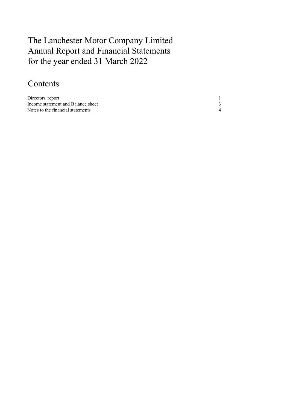# The Lanchester Motor Company Limited Annual Report and Financial Statements for the year ended 31 March 2022

# Contents

| Directors' report                  |  |
|------------------------------------|--|
| Income statement and Balance sheet |  |
| Notes to the financial statements  |  |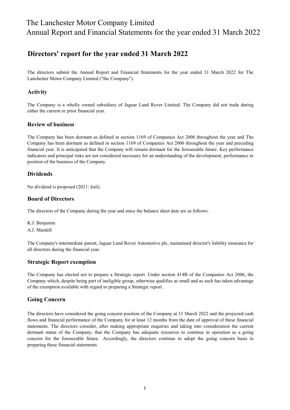# The Lanchester Motor Company Limited Annual Report and Financial Statements for the year ended 31 March 2022

## Directors' report for the year ended 31 March 2022

The directors submit the Annual Report and Financial Statements for the year ended 31 March 2022 for The Lanchester Motor Company Limited ("the Company").

## Activity

The Company is a wholly owned subsidiary of Jaguar Land Rover Limited. The Company did not trade during either the current or prior financial year.

## Review of business

The Company has been dormant as defined in section 1169 of Companies Act 2006 throughout the year and The Company has been dormant as defined in section 1169 of Companies Act 2006 throughout the year and preceding financial year. It is anticipated that the Company will remain dormant for the foreseeable future. Key performance indicators and principal risks are not considered necessary for an understanding of the development, performance or position of the business of the Company.

## Dividends

No dividend is proposed (2021: £nil).

## Board of Directors

The directors of the Company during the year and since the balance sheet date are as follows:

K.J. Benjamin A.J. Mardell

The Company's intermediate parent, Jaguar Land Rover Automotive plc, maintained director's liability insurance for all directors during the financial year.

## Strategic Report exemption

The Company has elected not to prepare a Strategic report. Under section 414B of the Companies Act 2006, the Company which, despite being part of ineligible group, otherwise qualifies as small and as such has taken advantage of the exemption available with regard to preparing a Strategic report.

## Going Concern

The directors have considered the going concern position of the Company at 31 March 2022 and the projected cash flows and financial performance of the Company for at least 12 months from the date of approval of these financial statements. The directors consider, after making appropriate enquiries and taking into consideration the current dormant status of the Company, that the Company has adequate resources to continue in operation as a going concern for the foreseeable future. Accordingly, the directors continue to adopt the going concern basis in preparing these financial statements.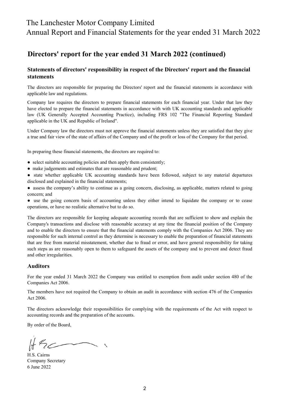## The Lanchester Motor Company Limited

Annual Report and Financial Statements for the year ended 31 March 2022

## Directors' report for the year ended 31 March 2022 (continued)

## Statements of directors' responsibility in respect of the Directors' report and the financial statements

The directors are responsible for preparing the Directors' report and the financial statements in accordance with applicable law and regulations.

Company law requires the directors to prepare financial statements for each financial year. Under that law they have elected to prepare the financial statements in accordance with with UK accounting standards and applicable law (UK Generally Accepted Accounting Practice), including FRS 102 "The Financial Reporting Standard applicable in the UK and Republic of Ireland".

Under Company law the directors must not approve the financial statements unless they are satisfied that they give a true and fair view of the state of affairs of the Company and of the profit or loss of the Company for that period.

In preparing these financial statements, the directors are required to:

- select suitable accounting policies and then apply them consistently;
- make judgements and estimates that are reasonable and prudent;
- state whether applicable UK accounting standards have been followed, subject to any material departures disclosed and explained in the financial statements;
- assess the company's ability to continue as a going concern, disclosing, as applicable, matters related to going concern; and

● use the going concern basis of accounting unless they either intend to liquidate the company or to cease operations, or have no realistic alternative but to do so.

The directors are responsible for keeping adequate accounting records that are sufficient to show and explain the Company's transactions and disclose with reasonable accuracy at any time the financial position of the Company and to enable the directors to ensure that the financial statements comply with the Companies Act 2006. They are responsible for such internal control as they determine is necessary to enable the preparation of financial statements that are free from material misstatement, whether due to fraud or error, and have general responsibility for taking such steps as are reasonably open to them to safeguard the assets of the company and to prevent and detect fraud and other irregularities.

#### Auditors

For the year ended 31 March 2022 the Company was entitled to exemption from audit under section 480 of the Companies Act 2006.

The members have not required the Company to obtain an audit in accordance with section 476 of the Companies Act 2006.

The directors acknowledge their responsibilities for complying with the requirements of the Act with respect to accounting records and the preparation of the accounts.

By order of the Board,

 $H_{2c}$ 

H.S. Cairns 6 June 2022 Company Secretary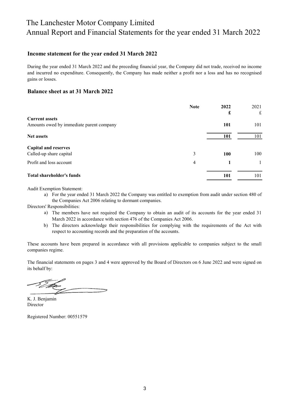# The Lanchester Motor Company Limited Annual Report and Financial Statements for the year ended 31 March 2022

### Income statement for the year ended 31 March 2022

During the year ended 31 March 2022 and the preceding financial year, the Company did not trade, received no income and incurred no expenditure. Consequently, the Company has made neither a profit nor a loss and has no recognised gains or losses.

#### Balance sheet as at 31 March 2022

|                                          | <b>Note</b> | 2022       | 2021 |
|------------------------------------------|-------------|------------|------|
| <b>Current assets</b>                    |             | £          | £    |
|                                          |             |            |      |
| Amounts owed by immediate parent company |             | 101        | 101  |
| <b>Net assets</b>                        |             | 101        | 101  |
| <b>Capital and reserves</b>              |             |            |      |
| Called-up share capital                  | 3           | <b>100</b> | 100  |
| Profit and loss account                  | 4           |            |      |
| <b>Total shareholder's funds</b>         |             | 101        | 101  |

Audit Exemption Statement:

a) For the year ended 31 March 2022 the Company was entitled to exemption from audit under section 480 of the Companies Act 2006 relating to dormant companies.

Directors' Responsibilities:

- a) The members have not required the Company to obtain an audit of its accounts for the year ended 31 March 2022 in accordance with section 476 of the Companies Act 2006.
- b) The directors acknowledge their responsibilities for complying with the requirements of the Act with respect to accounting records and the preparation of the accounts.

These accounts have been prepared in accordance with all provisions applicable to companies subject to the small companies regime.

The financial statements on pages 3 and 4 were approved by the Board of Directors on 6 June 2022 and were signed on its behalf by:

Director K. J. Benjamin

Registered Number: 00551579